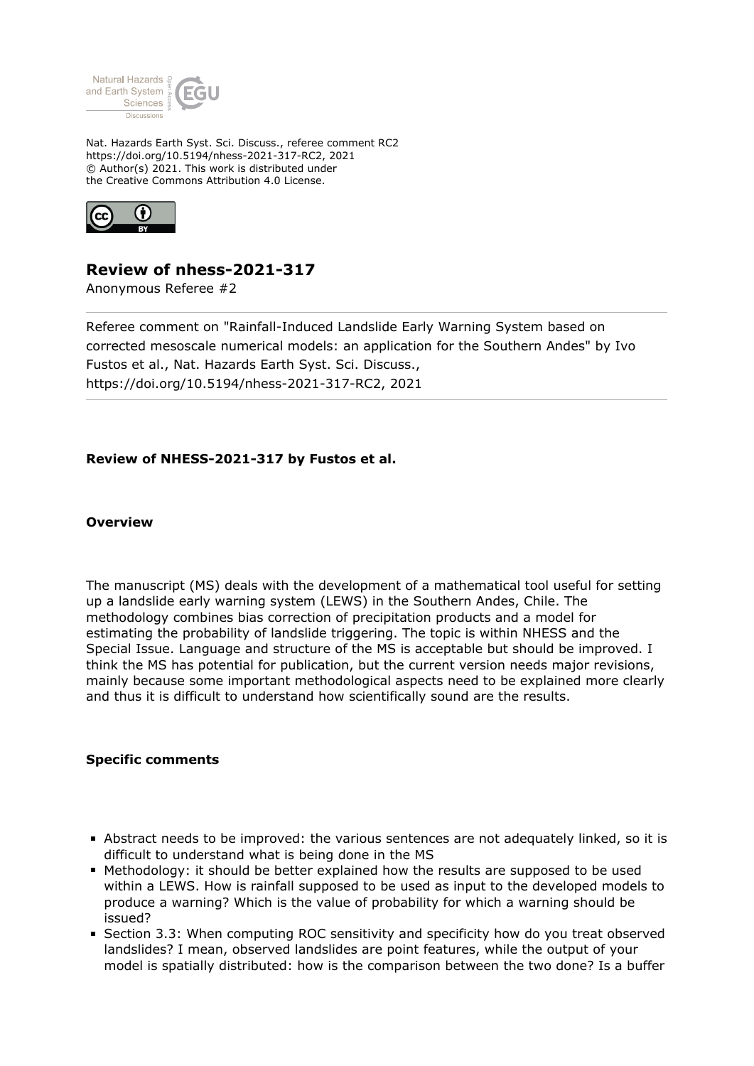

Nat. Hazards Earth Syst. Sci. Discuss., referee comment RC2 https://doi.org/10.5194/nhess-2021-317-RC2, 2021 © Author(s) 2021. This work is distributed under the Creative Commons Attribution 4.0 License.



# **Review of nhess-2021-317**

Anonymous Referee #2

Referee comment on "Rainfall-Induced Landslide Early Warning System based on corrected mesoscale numerical models: an application for the Southern Andes" by Ivo Fustos et al., Nat. Hazards Earth Syst. Sci. Discuss., https://doi.org/10.5194/nhess-2021-317-RC2, 2021

# **Review of NHESS-2021-317 by Fustos et al.**

### **Overview**

The manuscript (MS) deals with the development of a mathematical tool useful for setting up a landslide early warning system (LEWS) in the Southern Andes, Chile. The methodology combines bias correction of precipitation products and a model for estimating the probability of landslide triggering. The topic is within NHESS and the Special Issue. Language and structure of the MS is acceptable but should be improved. I think the MS has potential for publication, but the current version needs major revisions, mainly because some important methodological aspects need to be explained more clearly and thus it is difficult to understand how scientifically sound are the results.

# **Specific comments**

- Abstract needs to be improved: the various sentences are not adequately linked, so it is difficult to understand what is being done in the MS
- Methodology: it should be better explained how the results are supposed to be used within a LEWS. How is rainfall supposed to be used as input to the developed models to produce a warning? Which is the value of probability for which a warning should be issued?
- **Section 3.3: When computing ROC sensitivity and specificity how do you treat observed** landslides? I mean, observed landslides are point features, while the output of your model is spatially distributed: how is the comparison between the two done? Is a buffer